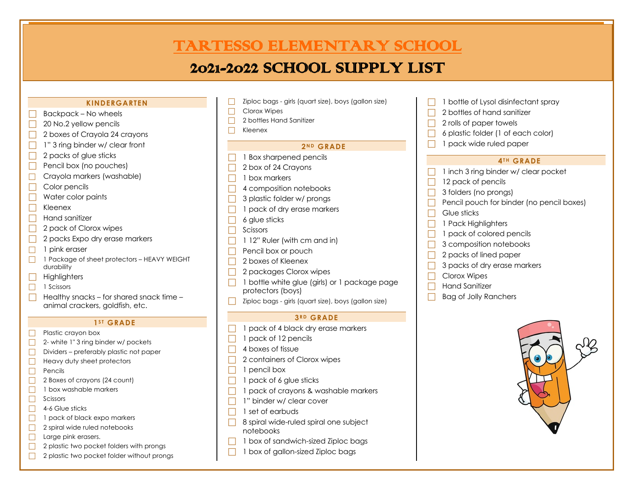# 2021-2022 TARTES OF A COMPANY LIST OF A COMPANY OF A COMPANY OF A COMPANY OF A COMPANY OF A COMPANY OF A COMPANY OF A COMPANY OF A COMPANY OF A COMPANY OF A COMPANY OF A COMPANY OF A COMPANY OF A COMPANY OF A COMPANY OF A **TARTESSO ELEMENTARY SCHOOL**

# 2021-2022 SCHOOL SUPPLY LIST

### **KINDERGARTEN**

- Backpack No wheels
- $\Box$  20 No.2 yellow pencils
- 2 boxes of Crayola 24 crayons
- 1" 3 ring binder w/ clear front
- $\Box$  2 packs of glue sticks
- Pencil box (no pouches)
- $\Box$  Crayola markers (washable)
- c Color pencils
- $\Box$  Water color paints
- $\Box$  Kleenex
- $\Box$  Hand sanitizer
- 2 pack of Clorox wipes
- 2 packs Expo dry erase markers
- $\Box$  1 pink eraser
- $\Box$  1 Package of sheet protectors HEAVY WEIGHT durability
	- **Highlighters**
- $\Box$  1 Scissors
	- Healthy snacks for shared snack time animal crackers, goldfish, etc.

### $1<sup>ST</sup>$  **GRADE**

- $\Box$  Plastic crayon box
- $\Box$  2- white 1" 3 ring binder w/ pockets
- $\Box$  Dividers preferably plastic not paper
- $\Box$  Heavy duty sheet protectors
- $\Box$  Pencils
- $\Box$  2 Boxes of crayons (24 count)
- $\Box$  1 box washable markers
- $\Box$  Scissors
- $\Box$  4-6 Glue sticks
- $\Box$  1 pack of black expo markers
- $\Box$  2 spiral wide ruled notebooks
- $\Box$  Large pink erasers.
- $\Box$  2 plastic two pocket folders with prongs
- $\Box$  2 plastic two pocket folder without prongs
- Ziploc bags girls (quart size), boys (gallon size)
- $\Box$  Clorox Wipes
- $\Box$  2 bottles Hand Sanitizer
- $\Box$  Kleenex

## **2 N D GRADE**

- 1 Box sharpened pencils
- 2 box of 24 Crayons
- $\Box$  1 box markers
- $\Box$  4 composition notebooks
- $\Box$  3 plastic folder w/ prongs
- $\Box$  1 pack of dry erase markers
- $\Box$  6 glue sticks
- $\Box$  Scissors
- $\Box$  1 12" Ruler (with cm and in)
- $\Box$  Pencil box or pouch
- $\Box$  2 boxes of Kleenex
- $\Box$  2 packages Clorox wipes
- 1 bottle white glue (girls) or 1 package page protectors (boys)
- Ziploc bags girls (quart size), boys (gallon size)

## **3 R D GRADE**

- 1 pack of 4 black dry erase markers
- $\Box$  1 pack of 12 pencils
- $\Box$  4 boxes of tissue
- 2 containers of Clorox wipes
- $\Box$  1 pencil box
- $\Box$  1 pack of 6 glue sticks
- $\Box$  1 pack of crayons & washable markers
- $\Box$  1" binder w/ clear cover
- $\Box$  1 set of earbuds
- 8 spiral wide-ruled spiral one subject notebooks
- 1 box of sandwich-sized Ziploc bags
- 1 box of gallon-sized Ziploc bags
- 1 bottle of Lysol disinfectant spray
- 2 bottles of hand sanitizer
- 2 rolls of paper towels
- c 6 plastic folder (1 of each color)
- 1 pack wide ruled paper

#### $4$ <sup>TH</sup> GRADE

- 1 inch 3 ring binder w/ clear pocket
- 12 pack of pencils
- 3 folders (no prongs)
- Pencil pouch for binder (no pencil boxes)
- Glue sticks
- 1 Pack Highlighters
- 1 pack of colored pencils
- 3 composition notebooks
- 2 packs of lined paper
- 3 packs of dry erase markers
- Clorox Wipes
- Hand Sanitizer
- Bag of Jolly Ranchers